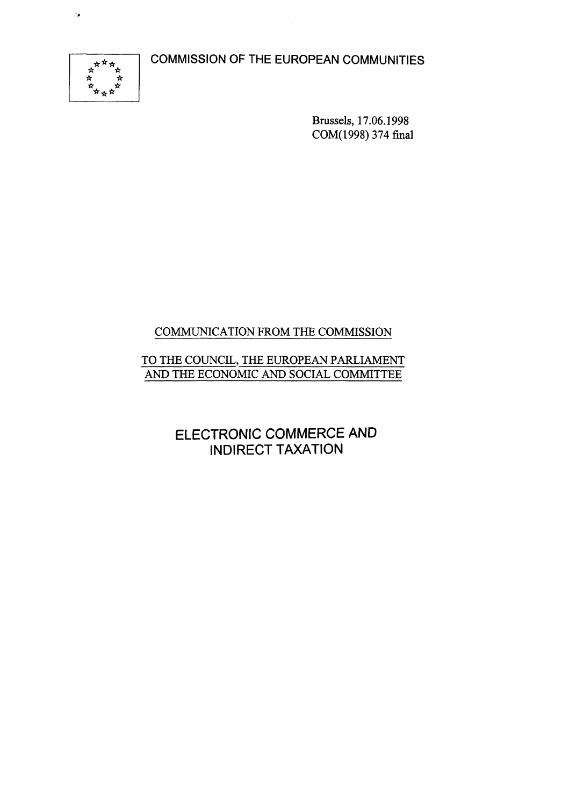**COMMISSION OF THE EUROPEAN COMMUNITIES** 



 $\hat{\mathcal{E}}_{\mu}$ 

Brussels, 17.06.1998 COM(1998) 374 final

# COMMUNICATION FROM THE COMMISSION

# TO THE COUNCIL, THE EUROPEAN PARLIAMENT AND THE ECONOMIC AND SOCIAL COMMITTEE

**ELECTRONIC COMMERCE AND INDIRECT TAXATION**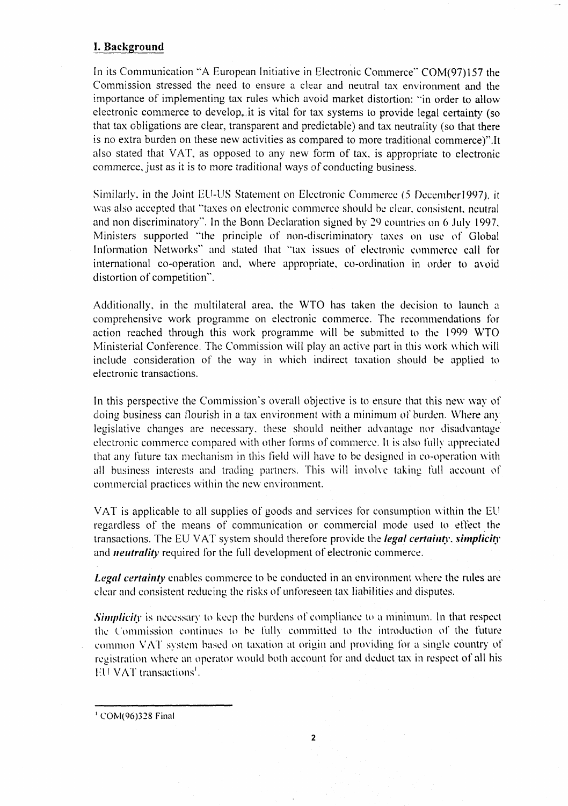# **I. Background**

In its Communication "A European Initiative in Electronic Commerce" COM(97)157 the Commission stressed the need to ensure a clear and neutral tax environment and the importance of implementing tax rules which avoid market distortion: "in order to allow electronic commerce to develop, it is vital for tax systems to provide legal certainty (so that tax obligations are clear, transparent and predictable) and tax neutrality (so that there is no extra burden on these new activities as compared to more traditional commerce)".It also stated that VAT, as opposed to any new form of tax, is appropriate to electronic commerce, just as it is to more traditional ways of conducting business.

Similarly, in the Joint EU-US Statement on Electronic Commerce (5 December 1997), it was also accepted that "taxes on electronic commerce should be clear, consistent, neutral and non discriminatory". In the Bonn Declaration signed by 29 countries on 6 July 1997. Ministers supported "the principle of non-discriminatory taxes on use *oi%* Global Information Networks" and stated that ""tax issues of electronic commerce call for international co-operation and, where appropriate, co-ordination in order to avoid distortion of competition".

Additionally, in the multilateral area, the WTO has taken the decision to launch a comprehensive work programme on electronic commerce. The recommendations for action reached through this work programme will be submitted to the 1999 WTO Ministerial Conference. The Commission will play an active part in this work which will include consideration of the way in which indirect taxation should be applied to electronic transactions.

In this perspective the Commission's overall objective is to ensure that this new way of doing business can flourish in a tax environment with a minimum of burden. Where any legislative changes are necessary, these should neither advantage nor disadvantage electronic commerce compared with other forms of commerce. It is also fully appreciated that any future tax mechanism in this field will have to be designed in co-operation with all business interests and trading partners. This will involve taking full account of commercial practices within the new environment.

VAT is applicable to all supplies of goods and services for consumption within the EU regardless of the means of communication or commercial mode used to effect the transactions. The EU VAT system should therefore provide the *legal certainty, simplicity*  and *neutrality* required for the full development of electronic commerce.

*Legal certainty* enables commerce to be conducted in an environment where the rules are clear and consistent reducing the risks of unforeseen tax liabilities and disputes.

*Simplicity* is necessary to keep the burdens of compliance to a minimum. In that respect the Commission continues to be fully committed to the introduction *o\'* the future common VAT system based on taxation at origin and providing for a single country of registration where an operator would both account for and deduct tax in respect of all his EU VAT transactions'.

 $^1$  COM(96)328 Final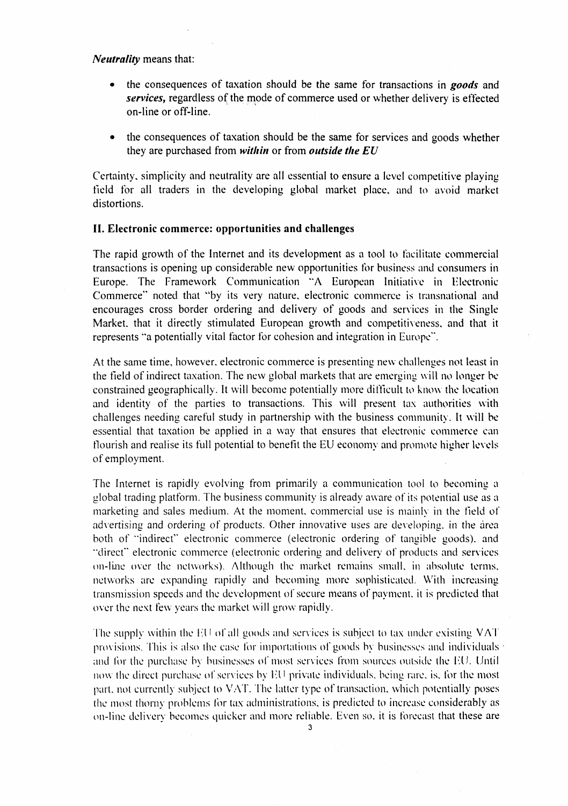*Neutrality* means that:

- the consequences of taxation should be the same for transactions in *goods* and *services,* regardless of the mode of commerce used or whether delivery is effected on-line or off-line.
- the consequences of taxation should be the same for services and goods whether they are purchased from *within* or from *outside the EU*

Certainty, simplicity and neutrality are all essential to ensure a level competitive playing field for all traders in the developing global market place, and to avoid market distortions.

#### **II. Electronic commerce: opportunities and challenges**

The rapid growth of the Internet and its development as a tool to facilitate commercial transactions is opening up considerable new opportunities for business and consumers in Europe. The Framework Communication "A European Initiative in Electronic Commerce" noted that "by its very nature, electronic commerce is transnational and encourages cross border ordering and delivery of goods and services in the Single Market, that it directly stimulated European growth and competitiveness, and that it represents "a potentially vital factor for cohesion and integration in Europe".

At the same time, however, electronic commerce is presenting new challenges not least in the field of indirect taxation. The new global markets that are emerging will no longer be constrained geographically. It will become potentially more difficult to know the location and identity of the parties to transactions. This will present tax authorities with challenges needing careful study in partnership with the business community. It will be essential that taxation be applied in a way that ensures that electronic commerce can flourish and realise its full potential to benefit the EU economy and promote higher levels of employment.

The Internet is rapidly evolving from primarily a communication tool to becoming a global trading platform. The business community is already aware of its potential use as a marketing and sales medium. At the moment, commercial use is mainly in the field of advertising and ordering of products. Other innovative uses are developing, in the area both of '"indirect" electronic commerce (electronic ordering of tangible goods), and "direct" electronic commerce (electronic ordering and delivery of products and services on-line over the networks). Although the market remains small, in absolute terms, networks are expanding rapidly and becoming more sophisticated. With increasing transmission speeds and the development of secure means of payment, it is predicted that over the next few years the market will grow rapidly.

The supply within the EU of all goods and services is subject to tax under existing VAT provisions. This is also the case for importations of goods by businesses and individuals  $\epsilon$ and for the purchase by businesses of most services from sources outside the EU. Until now the direct purchase of services by EU private individuals, being rare, is, for the most part, not currently subject to VAT. The latter type of transaction, which potentially poses the most thorny problems for tax administrations, is predicted to increase considerably as on-line delivery becomes quicker and more reliable. Even so. it is forecast that these are

 $\mathbf{3}$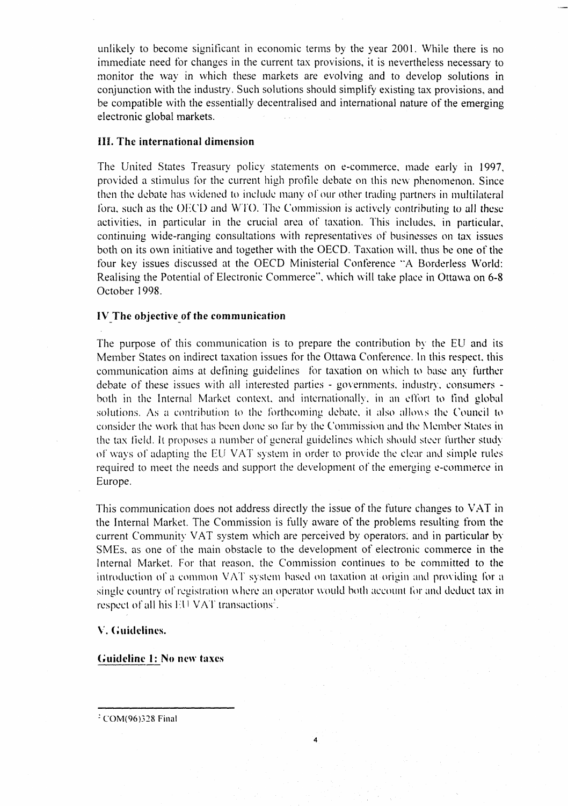unlikely to become significant in economic terms by the year 2001. While there is no immediate need for changes in the current tax provisions, it is nevertheless necessary to monitor the way in which these markets are evolving and to develop solutions in conjunction with the industry. Such solutions should simplify existing tax provisions, and be compatible with the essentially decentralised and international nature of the emerging electronic global markets.

## **IIL The international dimension**

The United States Treasury policy statements on e-commerce, made early in 1997, provided a stimulus for the current high profile debate on this new phenomenon. Since then the debate has widened to include many of our other trading partners in multilateral fora, such as the OECD and WTO. The Commission is actively contributing to all these activities, in particular in the crucial area of taxation. This includes, in particular, continuing wide-ranging consultations with representatives of businesses on tax issues both on its own initiative and together with the OECD. Taxation will, thus be one of the four key issues discussed at the OECD Ministerial Conference "A Borderless World: Realising the Potential of Electronic Commerce", which will take place in Ottawa on 6-8 October 1998.

## **IV The objective of the communication**

The purpose of this communication is to prepare the contribution by the EU and its Member States on indirect taxation issues for the Ottawa Conference. In this respect, this communication aims at defining guidelines for taxation on which to base any further debate of these issues with all interested parties - governments, industry, consumers both in the Internal Market context, and internationally, in an effort to find global solutions. As a contribution to the forthcoming debate, it also allows the Council to consider the work that has been done so far by the Commission and the Member States in the tax field. It proposes a number of general guidelines which should steer further study of ways of adapting the EU VAT system in order to provide the clear and simple rules required to meet the needs and support the development of the emerging e-commerce in Europe.

This communication does not address directly the issue of the future changes to VAT in the Internal Market. The Commission is fully aware of the problems resulting from the current Community VAT system which are perceived by operators, and in particular by SMEs, as one of the main obstacle to the development of electronic commerce in the Internal Market. For that reason, the Commission continues to be committed to the introduction of a common VAT system based on taxation at origin and providing for a single country of registration where an operator would both account for and deduct tax in respect of all his EU VAT transactions<sup>2</sup>.

 $\overline{\mathbf{4}}$ 

#### **V. Guidelines.**

**Guideline I: No new taxes** 

COM(96)328 Final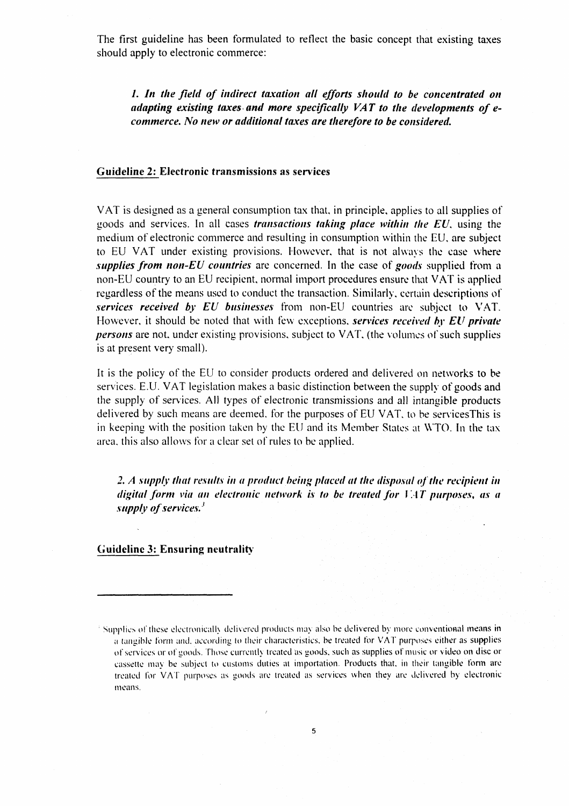The first guideline has been formulated to reflect the basic concept that existing taxes should apply to electronic commerce:

**/.** *In the field of indirect taxation all efforts should to be concentrated on adapting existing taxes and more specifically VAT to the developments of ecommerce. No new or additional taxes are therefore to be considered.* 

#### **Guideline 2: Electronic transmissions as services**

VAT is designed as a general consumption tax that, in principle, applies to all supplies of goods and services. In all cases *transactions taking place within the EU,* using the medium of electronic commerce and resulting in consumption within the EU, are subject to EU VAT under existing provisions. Flowever. that is not always the case where *supplies from non-EU countries* are concerned. In the case of *goods* supplied from a non-EU country to an EU recipient, normal import procedures ensure that VAT is applied regardless of the means used to conduct the transaction. Similarly, certain descriptions of *services received by EU businesses* from non-EU countries are subject to VAT. Flowever, it should be noted that with few exceptions, *services received by EU private persons* are not, under existing provisions, subject to VAT, (the volumes of such supplies is at present very small).

It is the policy of the EU to consider products ordered and delivered on networks to be services. E.U. VAT legislation makes a basic distinction between the supply of goods and the supply of services. All types of electronic transmissions and all intangible products delivered by such means are deemed, for the purposes of EU VAT, to be servicesThis is in keeping with the position taken by the EU and its Member States at WTO. In the tax area, this also allows for a clear set of rules to be applied.

*2. A supply that results in a product being placed at the disposal of the recipient in digital form via an electronic network is to be treated for VAT purposes, as a supply of services/* 

**Guideline 3: Ensuring neutrality** 

<sup>&</sup>lt;sup>3</sup> Supplies of these electronically delivered products may also be delivered by more conventional means in a tangible form and, according to their characteristics, be treated for VAT purposes either as supplies of services or of goods. Those currently treated as goods, such as supplies of music or video on disc or cassette may be subject to customs duties at importation. Products that, in their tangible form are treated for VAT purposes as goods are treated as services when they are delivered by electronic means.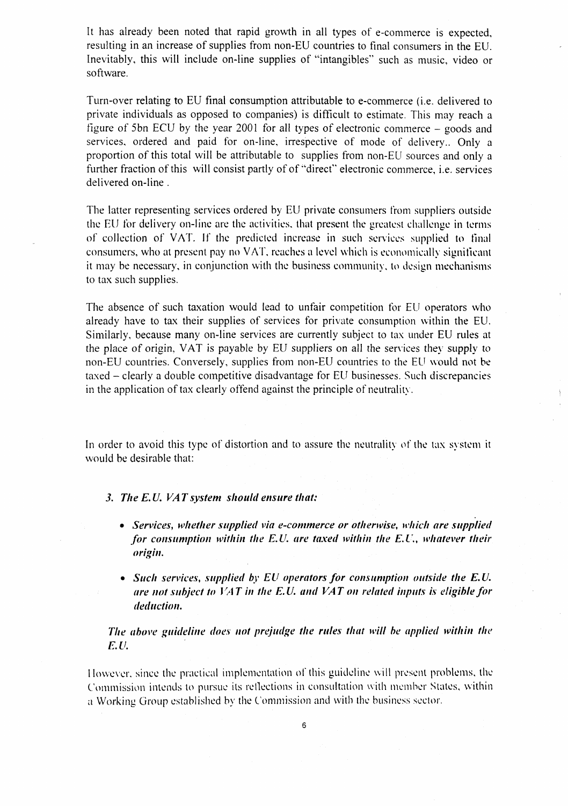It has already been noted that rapid growth in all types of e-commerce is expected, resulting in an increase of supplies from non-EU countries to final consumers in the EU. Inevitably, this will include on-line supplies of "intangibles" such as music, video or software.

Turn-over relating to EU final consumption attributable to e-commerce (i.e. delivered to private individuals as opposed to companies) is difficult to estimate. This may reach a figure of 5bn ECU by the year 2001 for all types of electronic commerce - goods and services, ordered and paid for on-line, irrespective of mode of delivery.. Only a proportion of this total will be attributable to supplies from non-EU sources and only a further fraction of this will consist partly of of "direct" electronic commerce, i.e. services delivered on-line .

The latter representing services ordered by EU private consumers from suppliers outside the EU for delivery on-line are the activities, that present the greatest challenge in terms of collection of VAT. If the predicted increase in such services supplied to final consumers, who at present pay no VAT, reaches a level which is economically significant it may be necessary, in conjunction with the business community, to design mechanisms to tax such supplies.

The absence of such taxation would lead to unfair competition for EU operators who already have to tax their supplies of services for private consumption within the EU. Similarly, because many on-line services are currently subject to tax under EU rules at the place of origin, VAT is payable by EU suppliers on all the services they supply to non-EU countries. Conversely, supplies from non-EU countries to the EU would not be taxed – clearly a double competitive disadvantage for EU businesses. Such discrepancies in the application of tax clearly offend against the principle of neutrality.

In order to avoid this type of distortion and to assure the neutrality of the tax system it would be desirable that:

#### *3. The E.U. VAT system should ensure that:*

- **•** *Services, whether supplied via e-commerce or otherwise, which are supplied for consumption within the E.U. are taxed within the E.U., whatever their origin.*
- *Such services, supplied by EU operators for consumption outside the E. U. are not subject to VAT in the E.U. and VAT on related inputs is eligible for deduction.*

*The above guideline does not prejudge the rules that will be applied within the E.U.* 

However, since the practical implementation of this guideline will present problems, the Commission intends to pursue its reflections in consultation with member States, within a Working Group established by the Commission and with the business sector.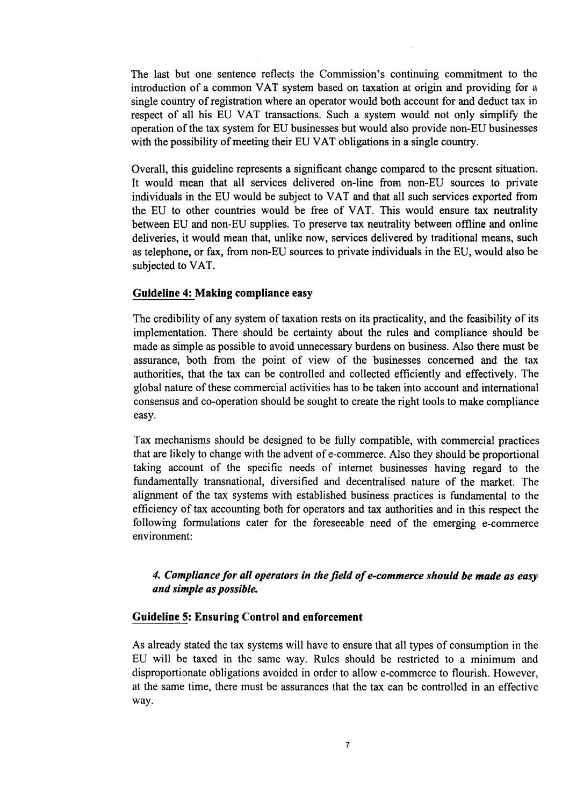The last but one sentence reflects the Commission's continuing commitment to the introduction of a common VAT system based on taxation at origin and providing for a single country of registration where an operator would both account for and deduct tax in respect of all his EU VAT transactions. Such a system would not only simplify the operation of the tax system for EU businesses but would also provide non-EU businesses with the possibility of meeting their EU VAT obligations in a single country.

Overall, this guideline represents a significant change compared to the present situation. It would mean that all services delivered on-line from non-EU sources to private individuals in the EU would be subject to VAT and that all such services exported from the EU to other countries would be free of VAT. This would ensure tax neutrality between EU and non-EU supplies. To preserve tax neutrality between offline and online deliveries, it would mean that, unlike now, services delivered by traditional means, such as telephone, or fax, from non-EU sources to private individuals in the EU, would also be subjected to VAT.

# **Guideline 4: Making compliance easy**

The credibility of any system of taxation rests on its practicality, and the feasibility of its implementation. There should be certainty about the rules and compliance should be made as simple as possible to avoid unnecessary burdens on business. Also there must be assurance, both from the point of view of the businesses concerned and the tax authorities, that the tax can be controlled and collected efficiently and effectively. The global nature of these commercial activities has to be taken into account and international consensus and co-operation should be sought to create the right tools to make compliance easy.

Tax mechanisms should be designed to be fully compatible, with commercial practices that are likely to change with the advent of e-commerce. Also they should be proportional taking account of the specific needs of internet businesses having regard to the fundamentally transnational, diversified and decentralised nature of the market. The alignment of the tax systems with established business practices is fundamental to the efficiency of tax accounting both for operators and tax authorities and in this respect the following formulations cater for the foreseeable need of the emerging e-commerce environment:

# *4. Compliance for all operators in the field of e-commerce should be made as easy and simple as possible.*

## **Guideline 5: Ensuring Control and enforcement**

As already stated the tax systems will have to ensure that all types of consumption in the EU will be taxed in the same way. Rules should be restricted to a minimum and disproportionate obligations avoided in order to allow e-commerce to flourish. However, at the same time, there must be assurances that the tax can be controlled in an effective way.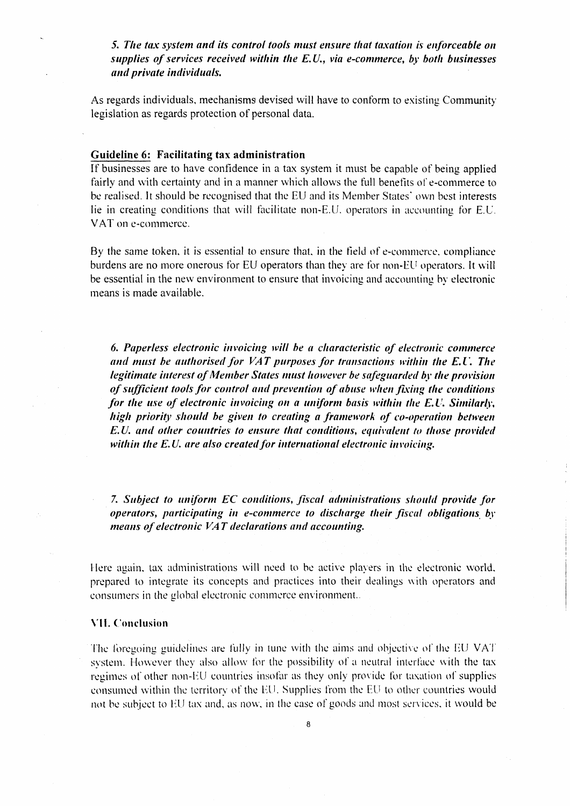*5. The tax system and its control tools must ensure that taxation is enforceable on supplies of services received within the E.U., via e-commerce, by both businesses an d private in dividuals.* 

As regards individuals, mechanisms devised will have to conform to existing Community legislation as regards protection of personal data.

# Guideline 6: Facilitating tax administration

If businesses are to have confidence in a tax system it must be capable of being applied fairly and with certainty and in a manner which allows the full benefits of e-commerce to be realised. It should be recognised that the EU and its Member States' own best interests lie in creating conditions that will facilitate non-E.U. operators in accounting for E.U. VAT on e-commerce.

By the same token, it is essential to ensure that, in the field of e-commerce, compliance burdens are no more onerous for EU operators than they are for non-EU operators. It will be essential in the new environment to ensure that invoicing and accounting by electronic means is made available.

*6. Paperless electronic invoicing will be a characteristic of electronic commerce and must be authorised for VAT purposes for transactions within the E.U. The legitimate interest of Member States must however be safeguarded by the provision of sufficient tools for control and prevention of abuse when fixing the conditions for the use of electronic invoicing on a uniform basis within the E.U. Similarly, high priority should be given to creating a framework of co-operation between E.U. and other countries to ensure that conditions, equivalent to those provided within the E.U. are also created for international electronic invoicing.* 

*7. Subject to uniform EC conditions, fiscal administrations should provide for operators, participating in e-commerce to discharge their fiscal obligations by means of electronic VA T declarations and accounting.* 

Here again, tax administrations will need to be active players in the electronic world, prepared to integrate its concepts and practices into their dealings with operators and consumers in the global electronic commerce environment..

#### VII. Conclusion

The foregoing guidelines are fully in tune with the aims and objective of the EU VAT system. However they also allow for the possibility of a neutral interface with the tax regimes of other non-EU countries insofar as they only provide for taxation of supplies consumed within the territory of the EU. Supplies from the EU to other countries would not be subject to EU tax and, as now, in the case of goods and most services, it would be

8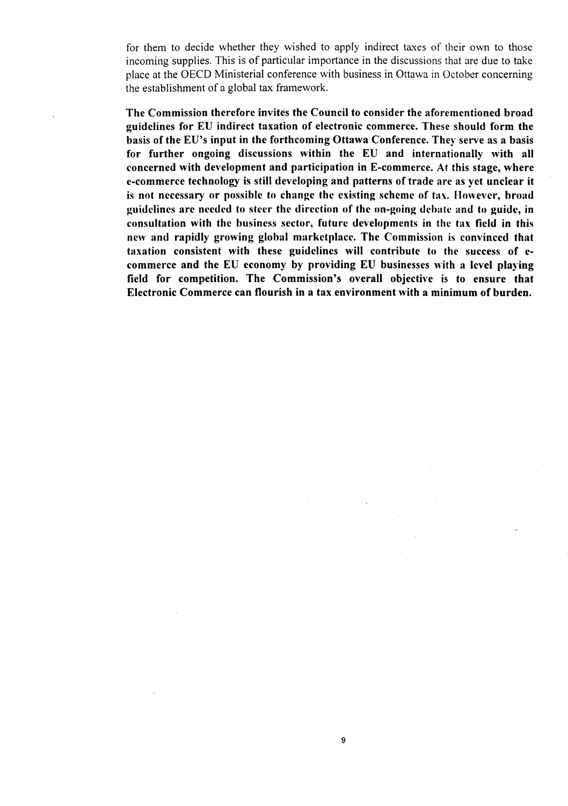for them to decide whether they wished to apply indirect taxes of their own to those incoming supplies. This is of particular importance in the discussions that are due to take place at the OECD Ministerial conference with business in Ottawa in October concerning the establishment of a global tax framework.

**The Commission therefore invites the Council to consider the aforementioned broad guidelines for EU indirect taxation of electronic commerce. These should form the basis of the EU's input in the forthcoming Ottawa Conference. They serve as a basis for further ongoing discussions within the EU and internationally with all concerned with development and participation in E-commerce. At this stage, where e-commerce technology is still developing and patterns of trade are as yet unclear it is not necessary or possible to change the existing scheme of tax. However, broad guidelines are needed to steer the direction of the on-going debate and to guide, in consultation with the business sector, future developments in the tax field in this new and rapidly growing global marketplace. The Commission is convinced that taxation consistent with these guidelines will contribute to the success of ecommerce and the EU economy by providing EU businesses with a level playing field for competition. The Commission's overall objective is to ensure that Electronic Commerce can flourish in a tax environment with a minimum of burden.** 

9